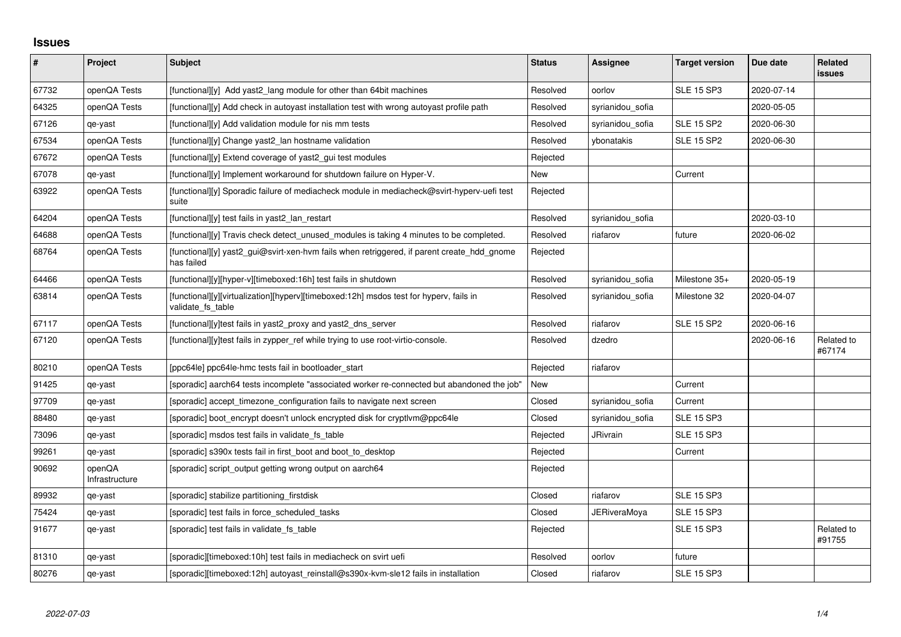## **Issues**

| $\sharp$ | Project                  | <b>Subject</b>                                                                                              | <b>Status</b> | Assignee            | <b>Target version</b> | Due date   | Related<br><b>issues</b> |
|----------|--------------------------|-------------------------------------------------------------------------------------------------------------|---------------|---------------------|-----------------------|------------|--------------------------|
| 67732    | openQA Tests             | [functional][y] Add yast2 lang module for other than 64bit machines                                         | Resolved      | oorlov              | <b>SLE 15 SP3</b>     | 2020-07-14 |                          |
| 64325    | openQA Tests             | [functional][y] Add check in autoyast installation test with wrong autoyast profile path                    | Resolved      | syrianidou_sofia    |                       | 2020-05-05 |                          |
| 67126    | qe-yast                  | [functional][y] Add validation module for nis mm tests                                                      | Resolved      | syrianidou_sofia    | <b>SLE 15 SP2</b>     | 2020-06-30 |                          |
| 67534    | openQA Tests             | [functional][y] Change yast2 lan hostname validation                                                        | Resolved      | ybonatakis          | <b>SLE 15 SP2</b>     | 2020-06-30 |                          |
| 67672    | openQA Tests             | [functional][y] Extend coverage of yast2_gui test modules                                                   | Rejected      |                     |                       |            |                          |
| 67078    | qe-yast                  | [functional][y] Implement workaround for shutdown failure on Hyper-V.                                       | New           |                     | Current               |            |                          |
| 63922    | openQA Tests             | [functional][y] Sporadic failure of mediacheck module in mediacheck@svirt-hyperv-uefi test<br>suite         | Rejected      |                     |                       |            |                          |
| 64204    | openQA Tests             | [functional][y] test fails in yast2_lan_restart                                                             | Resolved      | syrianidou_sofia    |                       | 2020-03-10 |                          |
| 64688    | openQA Tests             | [functional][y] Travis check detect_unused_modules is taking 4 minutes to be completed.                     | Resolved      | riafarov            | future                | 2020-06-02 |                          |
| 68764    | openQA Tests             | [functional][y] yast2_gui@svirt-xen-hvm fails when retriggered, if parent create_hdd_gnome<br>has failed    | Rejected      |                     |                       |            |                          |
| 64466    | openQA Tests             | [functional][y][hyper-v][timeboxed:16h] test fails in shutdown                                              | Resolved      | syrianidou_sofia    | Milestone 35+         | 2020-05-19 |                          |
| 63814    | openQA Tests             | [functional][y][virtualization][hyperv][timeboxed:12h] msdos test for hyperv, fails in<br>validate fs table | Resolved      | syrianidou sofia    | Milestone 32          | 2020-04-07 |                          |
| 67117    | openQA Tests             | [functional][y]test fails in yast2 proxy and yast2 dns server                                               | Resolved      | riafarov            | <b>SLE 15 SP2</b>     | 2020-06-16 |                          |
| 67120    | openQA Tests             | [functional][y]test fails in zypper_ref while trying to use root-virtio-console.                            | Resolved      | dzedro              |                       | 2020-06-16 | Related to<br>#67174     |
| 80210    | openQA Tests             | [ppc64le] ppc64le-hmc tests fail in bootloader_start                                                        | Rejected      | riafarov            |                       |            |                          |
| 91425    | qe-yast                  | [sporadic] aarch64 tests incomplete "associated worker re-connected but abandoned the job"                  | New           |                     | Current               |            |                          |
| 97709    | qe-yast                  | [sporadic] accept_timezone_configuration fails to navigate next screen                                      | Closed        | syrianidou_sofia    | Current               |            |                          |
| 88480    | qe-yast                  | [sporadic] boot encrypt doesn't unlock encrypted disk for cryptlym@ppc64le                                  | Closed        | syrianidou sofia    | <b>SLE 15 SP3</b>     |            |                          |
| 73096    | qe-yast                  | [sporadic] msdos test fails in validate_fs_table                                                            | Rejected      | <b>JRivrain</b>     | <b>SLE 15 SP3</b>     |            |                          |
| 99261    | qe-yast                  | [sporadic] s390x tests fail in first_boot and boot_to_desktop                                               | Rejected      |                     | Current               |            |                          |
| 90692    | openQA<br>Infrastructure | [sporadic] script_output getting wrong output on aarch64                                                    | Rejected      |                     |                       |            |                          |
| 89932    | qe-yast                  | [sporadic] stabilize partitioning_firstdisk                                                                 | Closed        | riafarov            | <b>SLE 15 SP3</b>     |            |                          |
| 75424    | qe-yast                  | [sporadic] test fails in force_scheduled_tasks                                                              | Closed        | <b>JERiveraMoya</b> | <b>SLE 15 SP3</b>     |            |                          |
| 91677    | qe-yast                  | [sporadic] test fails in validate_fs_table                                                                  | Rejected      |                     | <b>SLE 15 SP3</b>     |            | Related to<br>#91755     |
| 81310    | qe-yast                  | [sporadic][timeboxed:10h] test fails in mediacheck on svirt uefi                                            | Resolved      | oorlov              | future                |            |                          |
| 80276    | qe-yast                  | [sporadic][timeboxed:12h] autoyast reinstall@s390x-kvm-sle12 fails in installation                          | Closed        | riafarov            | <b>SLE 15 SP3</b>     |            |                          |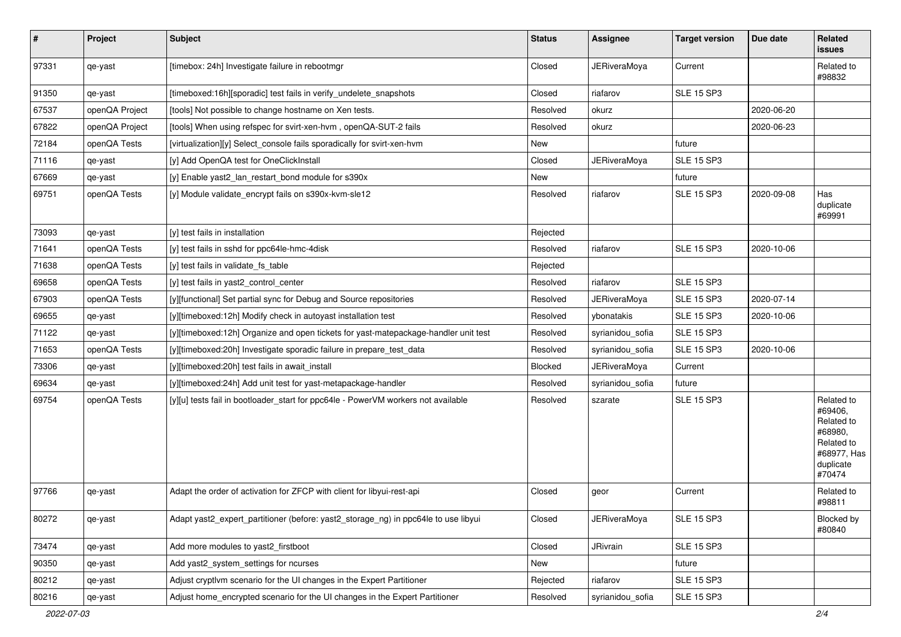| $\vert$ # | Project        | Subject                                                                             | <b>Status</b> | Assignee            | <b>Target version</b> | Due date   | Related<br><b>issues</b>                                                                           |
|-----------|----------------|-------------------------------------------------------------------------------------|---------------|---------------------|-----------------------|------------|----------------------------------------------------------------------------------------------------|
| 97331     | qe-yast        | [timebox: 24h] Investigate failure in rebootmgr                                     | Closed        | <b>JERiveraMoya</b> | Current               |            | Related to<br>#98832                                                                               |
| 91350     | qe-yast        | [timeboxed:16h][sporadic] test fails in verify_undelete_snapshots                   | Closed        | riafarov            | <b>SLE 15 SP3</b>     |            |                                                                                                    |
| 67537     | openQA Project | [tools] Not possible to change hostname on Xen tests.                               | Resolved      | okurz               |                       | 2020-06-20 |                                                                                                    |
| 67822     | openQA Project | [tools] When using refspec for svirt-xen-hvm, openQA-SUT-2 fails                    | Resolved      | okurz               |                       | 2020-06-23 |                                                                                                    |
| 72184     | openQA Tests   | [virtualization][y] Select console fails sporadically for svirt-xen-hym             | New           |                     | future                |            |                                                                                                    |
| 71116     | qe-yast        | [y] Add OpenQA test for OneClickInstall                                             | Closed        | <b>JERiveraMoya</b> | SLE 15 SP3            |            |                                                                                                    |
| 67669     | qe-yast        | [y] Enable yast2_lan_restart_bond module for s390x                                  | New           |                     | future                |            |                                                                                                    |
| 69751     | openQA Tests   | [y] Module validate_encrypt fails on s390x-kvm-sle12                                | Resolved      | riafarov            | <b>SLE 15 SP3</b>     | 2020-09-08 | Has<br>duplicate<br>#69991                                                                         |
| 73093     | qe-yast        | [y] test fails in installation                                                      | Rejected      |                     |                       |            |                                                                                                    |
| 71641     | openQA Tests   | [y] test fails in sshd for ppc64le-hmc-4disk                                        | Resolved      | riafarov            | <b>SLE 15 SP3</b>     | 2020-10-06 |                                                                                                    |
| 71638     | openQA Tests   | [y] test fails in validate_fs_table                                                 | Rejected      |                     |                       |            |                                                                                                    |
| 69658     | openQA Tests   | [y] test fails in yast2 control center                                              | Resolved      | riafarov            | <b>SLE 15 SP3</b>     |            |                                                                                                    |
| 67903     | openQA Tests   | [y][functional] Set partial sync for Debug and Source repositories                  | Resolved      | <b>JERiveraMoya</b> | <b>SLE 15 SP3</b>     | 2020-07-14 |                                                                                                    |
| 69655     | qe-yast        | [y][timeboxed:12h] Modify check in autoyast installation test                       | Resolved      | ybonatakis          | <b>SLE 15 SP3</b>     | 2020-10-06 |                                                                                                    |
| 71122     | qe-yast        | [y][timeboxed:12h] Organize and open tickets for yast-matepackage-handler unit test | Resolved      | syrianidou sofia    | <b>SLE 15 SP3</b>     |            |                                                                                                    |
| 71653     | openQA Tests   | [y][timeboxed:20h] Investigate sporadic failure in prepare_test_data                | Resolved      | syrianidou_sofia    | <b>SLE 15 SP3</b>     | 2020-10-06 |                                                                                                    |
| 73306     | qe-yast        | [y][timeboxed:20h] test fails in await_install                                      | Blocked       | <b>JERiveraMoya</b> | Current               |            |                                                                                                    |
| 69634     | qe-yast        | [y][timeboxed:24h] Add unit test for yast-metapackage-handler                       | Resolved      | syrianidou sofia    | future                |            |                                                                                                    |
| 69754     | openQA Tests   | [y][u] tests fail in bootloader_start for ppc64le - PowerVM workers not available   | Resolved      | szarate             | <b>SLE 15 SP3</b>     |            | Related to<br>#69406.<br>Related to<br>#68980,<br>Related to<br>#68977, Has<br>duplicate<br>#70474 |
| 97766     | qe-yast        | Adapt the order of activation for ZFCP with client for libyui-rest-api              | Closed        | geor                | Current               |            | Related to<br>#98811                                                                               |
| 80272     | qe-yast        | Adapt yast2_expert_partitioner (before: yast2_storage_ng) in ppc64le to use libyui  | Closed        | <b>JERiveraMoya</b> | <b>SLE 15 SP3</b>     |            | Blocked by<br>#80840                                                                               |
| 73474     | qe-yast        | Add more modules to yast2_firstboot                                                 | Closed        | JRivrain            | <b>SLE 15 SP3</b>     |            |                                                                                                    |
| 90350     | qe-yast        | Add yast2_system_settings for ncurses                                               | New           |                     | future                |            |                                                                                                    |
| 80212     | qe-yast        | Adjust cryptlvm scenario for the UI changes in the Expert Partitioner               | Rejected      | riafarov            | <b>SLE 15 SP3</b>     |            |                                                                                                    |
| 80216     | qe-yast        | Adjust home_encrypted scenario for the UI changes in the Expert Partitioner         | Resolved      | syrianidou_sofia    | <b>SLE 15 SP3</b>     |            |                                                                                                    |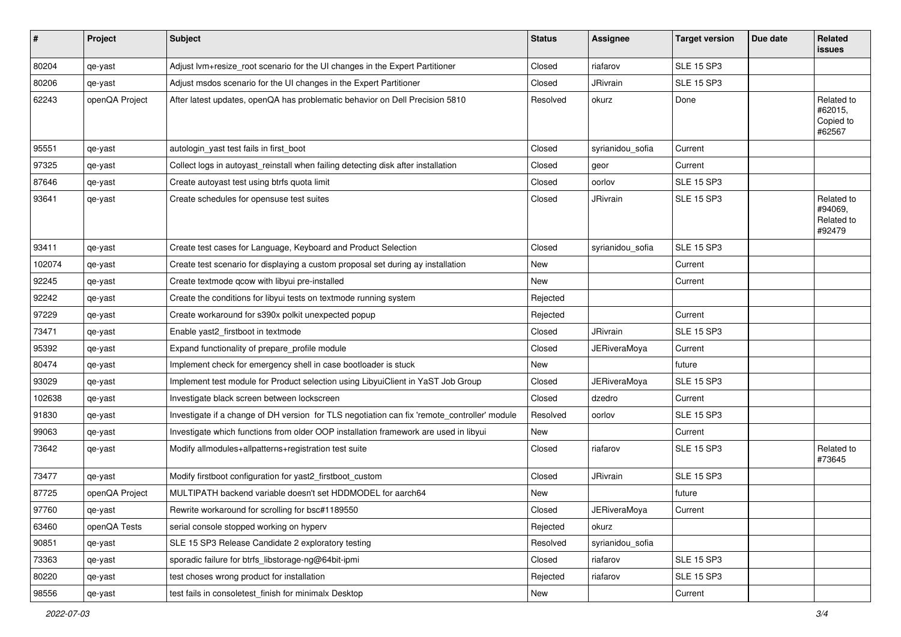| #      | Project        | <b>Subject</b>                                                                               | <b>Status</b> | Assignee            | <b>Target version</b> | Due date | Related<br>issues                             |
|--------|----------------|----------------------------------------------------------------------------------------------|---------------|---------------------|-----------------------|----------|-----------------------------------------------|
| 80204  | qe-yast        | Adjust lvm+resize_root scenario for the UI changes in the Expert Partitioner                 | Closed        | riafarov            | <b>SLE 15 SP3</b>     |          |                                               |
| 80206  | qe-yast        | Adjust msdos scenario for the UI changes in the Expert Partitioner                           | Closed        | JRivrain            | <b>SLE 15 SP3</b>     |          |                                               |
| 62243  | openQA Project | After latest updates, openQA has problematic behavior on Dell Precision 5810                 | Resolved      | okurz               | Done                  |          | Related to<br>#62015,<br>Copied to<br>#62567  |
| 95551  | qe-yast        | autologin_yast test fails in first_boot                                                      | Closed        | syrianidou_sofia    | Current               |          |                                               |
| 97325  | qe-yast        | Collect logs in autoyast_reinstall when failing detecting disk after installation            | Closed        | geor                | Current               |          |                                               |
| 87646  | qe-yast        | Create autoyast test using btrfs quota limit                                                 | Closed        | oorlov              | <b>SLE 15 SP3</b>     |          |                                               |
| 93641  | qe-yast        | Create schedules for opensuse test suites                                                    | Closed        | JRivrain            | <b>SLE 15 SP3</b>     |          | Related to<br>#94069,<br>Related to<br>#92479 |
| 93411  | qe-yast        | Create test cases for Language, Keyboard and Product Selection                               | Closed        | syrianidou_sofia    | <b>SLE 15 SP3</b>     |          |                                               |
| 102074 | qe-yast        | Create test scenario for displaying a custom proposal set during ay installation             | New           |                     | Current               |          |                                               |
| 92245  | qe-yast        | Create textmode qcow with libyui pre-installed                                               | New           |                     | Current               |          |                                               |
| 92242  | qe-yast        | Create the conditions for libyui tests on textmode running system                            | Rejected      |                     |                       |          |                                               |
| 97229  | qe-yast        | Create workaround for s390x polkit unexpected popup                                          | Rejected      |                     | Current               |          |                                               |
| 73471  | qe-yast        | Enable yast2_firstboot in textmode                                                           | Closed        | JRivrain            | <b>SLE 15 SP3</b>     |          |                                               |
| 95392  | qe-yast        | Expand functionality of prepare_profile module                                               | Closed        | <b>JERiveraMoya</b> | Current               |          |                                               |
| 80474  | qe-yast        | Implement check for emergency shell in case bootloader is stuck                              | New           |                     | future                |          |                                               |
| 93029  | qe-yast        | Implement test module for Product selection using LibyuiClient in YaST Job Group             | Closed        | <b>JERiveraMoya</b> | <b>SLE 15 SP3</b>     |          |                                               |
| 102638 | qe-yast        | Investigate black screen between lockscreen                                                  | Closed        | dzedro              | Current               |          |                                               |
| 91830  | qe-yast        | Investigate if a change of DH version for TLS negotiation can fix 'remote_controller' module | Resolved      | oorlov              | <b>SLE 15 SP3</b>     |          |                                               |
| 99063  | qe-yast        | Investigate which functions from older OOP installation framework are used in libyui         | New           |                     | Current               |          |                                               |
| 73642  | qe-yast        | Modify allmodules+allpatterns+registration test suite                                        | Closed        | riafarov            | <b>SLE 15 SP3</b>     |          | Related to<br>#73645                          |
| 73477  | qe-yast        | Modify firstboot configuration for yast2_firstboot_custom                                    | Closed        | JRivrain            | <b>SLE 15 SP3</b>     |          |                                               |
| 87725  | openQA Project | MULTIPATH backend variable doesn't set HDDMODEL for aarch64                                  | New           |                     | future                |          |                                               |
| 97760  | qe-yast        | Rewrite workaround for scrolling for bsc#1189550                                             | Closed        | <b>JERiveraMoya</b> | Current               |          |                                               |
| 63460  | openQA Tests   | serial console stopped working on hyperv                                                     | Rejected      | okurz               |                       |          |                                               |
| 90851  | qe-yast        | SLE 15 SP3 Release Candidate 2 exploratory testing                                           | Resolved      | syrianidou_sofia    |                       |          |                                               |
| 73363  | qe-yast        | sporadic failure for btrfs libstorage-ng@64bit-ipmi                                          | Closed        | riafarov            | <b>SLE 15 SP3</b>     |          |                                               |
| 80220  | qe-yast        | test choses wrong product for installation                                                   | Rejected      | riafarov            | <b>SLE 15 SP3</b>     |          |                                               |
| 98556  | qe-yast        | test fails in consoletest_finish for minimalx Desktop                                        | New           |                     | Current               |          |                                               |